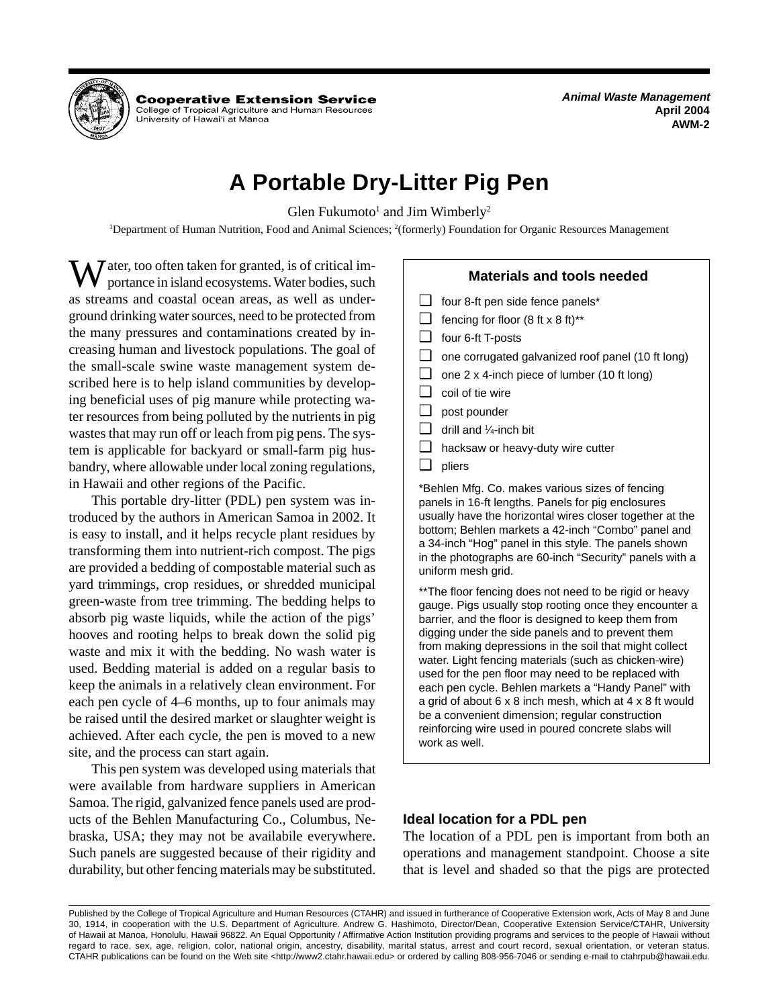

**Cooperative Extension Service** 

College of Tropical Agriculture and Human Resources University of Hawai'i at Mānoa

**Animal Waste Management April 2004 AWM-2** 

# **A Portable Dry-Litter Pig Pen**

Glen Fukumoto<sup>1</sup> and Jim Wimberly<sup>2</sup>

<sup>1</sup>Department of Human Nutrition, Food and Animal Sciences; <sup>2</sup>(formerly) Foundation for Organic Resources Management

 $\sum \int$  ater, too often taken for granted, is of critical importance in island ecosystems. Water bodies, such as streams and coastal ocean areas, as well as underground drinking water sources, need to be protected from the many pressures and contaminations created by increasing human and livestock populations. The goal of the small-scale swine waste management system described here is to help island communities by developing beneficial uses of pig manure while protecting water resources from being polluted by the nutrients in pig wastes that may run off or leach from pig pens. The system is applicable for backyard or small-farm pig husbandry, where allowable under local zoning regulations, in Hawaii and other regions of the Pacific.

This portable dry-litter (PDL) pen system was introduced by the authors in American Samoa in 2002. It is easy to install, and it helps recycle plant residues by transforming them into nutrient-rich compost. The pigs are provided a bedding of compostable material such as yard trimmings, crop residues, or shredded municipal green-waste from tree trimming. The bedding helps to absorb pig waste liquids, while the action of the pigs' hooves and rooting helps to break down the solid pig waste and mix it with the bedding. No wash water is used. Bedding material is added on a regular basis to keep the animals in a relatively clean environment. For each pen cycle of 4–6 months, up to four animals may be raised until the desired market or slaughter weight is achieved. After each cycle, the pen is moved to a new site, and the process can start again.

This pen system was developed using materials that were available from hardware suppliers in American Samoa. The rigid, galvanized fence panels used are products of the Behlen Manufacturing Co., Columbus, Nebraska, USA; they may not be availabile everywhere. Such panels are suggested because of their rigidity and durability, but other fencing materials may be substituted.

# **Materials and tools needed**

- ❏ four 8-ft pen side fence panels\*
- $\Box$  fencing for floor (8 ft x 8 ft)\*\*
- ❏ four 6-ft T-posts
- ❏ one corrugated galvanized roof panel (10 ft long)
- ❏ one 2 x 4-inch piece of lumber (10 ft long)
- ❏ coil of tie wire
- ❏ post pounder
- ❏ drill and 1 ⁄4-inch bit
- ❏ hacksaw or heavy-duty wire cutter
- ❏ pliers

\*Behlen Mfg. Co. makes various sizes of fencing panels in 16-ft lengths. Panels for pig enclosures usually have the horizontal wires closer together at the bottom; Behlen markets a 42-inch "Combo" panel and a 34-inch "Hog" panel in this style. The panels shown in the photographs are 60-inch "Security" panels with a uniform mesh grid.

\*\*The floor fencing does not need to be rigid or heavy gauge. Pigs usually stop rooting once they encounter a barrier, and the floor is designed to keep them from digging under the side panels and to prevent them from making depressions in the soil that might collect water. Light fencing materials (such as chicken-wire) used for the pen floor may need to be replaced with each pen cycle. Behlen markets a "Handy Panel" with a grid of about 6 x 8 inch mesh, which at 4 x 8 ft would be a convenient dimension; regular construction reinforcing wire used in poured concrete slabs will work as well.

# **Ideal location for a PDL pen**

The location of a PDL pen is important from both an operations and management standpoint. Choose a site that is level and shaded so that the pigs are protected

Published by the College of Tropical Agriculture and Human Resources (CTAHR) and issued in furtherance of Cooperative Extension work, Acts of May 8 and June 30, 1914, in cooperation with the U.S. Department of Agriculture. Andrew G. Hashimoto, Director/Dean, Cooperative Extension Service/CTAHR, University of Hawaii at Manoa, Honolulu, Hawaii 96822. An Equal Opportunity / Affirmative Action Institution providing programs and services to the people of Hawaii without regard to race, sex, age, religion, color, national origin, ancestry, disability, marital status, arrest and court record, sexual orientation, or veteran status. CTAHR publications can be found on the Web site <http://www2.ctahr.hawaii.edu> or ordered by calling 808-956-7046 or sending e-mail to ctahrpub@hawaii.edu.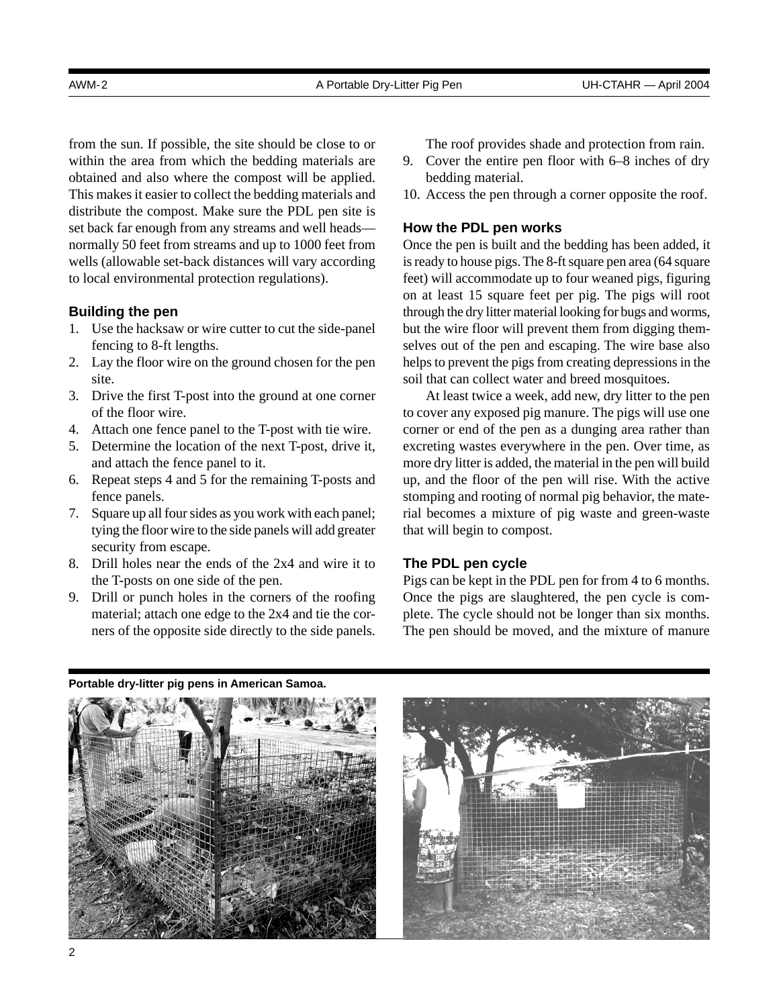from the sun. If possible, the site should be close to or within the area from which the bedding materials are obtained and also where the compost will be applied. This makes it easier to collect the bedding materials and distribute the compost. Make sure the PDL pen site is set back far enough from any streams and well heads normally 50 feet from streams and up to 1000 feet from wells (allowable set-back distances will vary according to local environmental protection regulations).

# **Building the pen**

- 1. Use the hacksaw or wire cutter to cut the side-panel fencing to 8-ft lengths.
- 2. Lay the floor wire on the ground chosen for the pen site.
- 3. Drive the first T-post into the ground at one corner of the floor wire.
- 4. Attach one fence panel to the T-post with tie wire.
- 5. Determine the location of the next T-post, drive it, and attach the fence panel to it.
- 6. Repeat steps 4 and 5 for the remaining T-posts and fence panels.
- 7. Square up all four sides as you work with each panel; tying the floor wire to the side panels will add greater security from escape.
- 8. Drill holes near the ends of the 2x4 and wire it to the T-posts on one side of the pen.
- 9. Drill or punch holes in the corners of the roofing material; attach one edge to the 2x4 and tie the corners of the opposite side directly to the side panels.

The roof provides shade and protection from rain.

- 9. Cover the entire pen floor with 6–8 inches of dry bedding material.
- 10. Access the pen through a corner opposite the roof.

# **How the PDL pen works**

Once the pen is built and the bedding has been added, it is ready to house pigs. The 8-ft square pen area (64 square feet) will accommodate up to four weaned pigs, figuring on at least 15 square feet per pig. The pigs will root through the dry litter material looking for bugs and worms, but the wire floor will prevent them from digging themselves out of the pen and escaping. The wire base also helps to prevent the pigs from creating depressions in the soil that can collect water and breed mosquitoes.

At least twice a week, add new, dry litter to the pen to cover any exposed pig manure. The pigs will use one corner or end of the pen as a dunging area rather than excreting wastes everywhere in the pen. Over time, as more dry litter is added, the material in the pen will build up, and the floor of the pen will rise. With the active stomping and rooting of normal pig behavior, the material becomes a mixture of pig waste and green-waste that will begin to compost.

## **The PDL pen cycle**

Pigs can be kept in the PDL pen for from 4 to 6 months. Once the pigs are slaughtered, the pen cycle is complete. The cycle should not be longer than six months. The pen should be moved, and the mixture of manure

**Portable dry-litter pig pens in American Samoa.** 

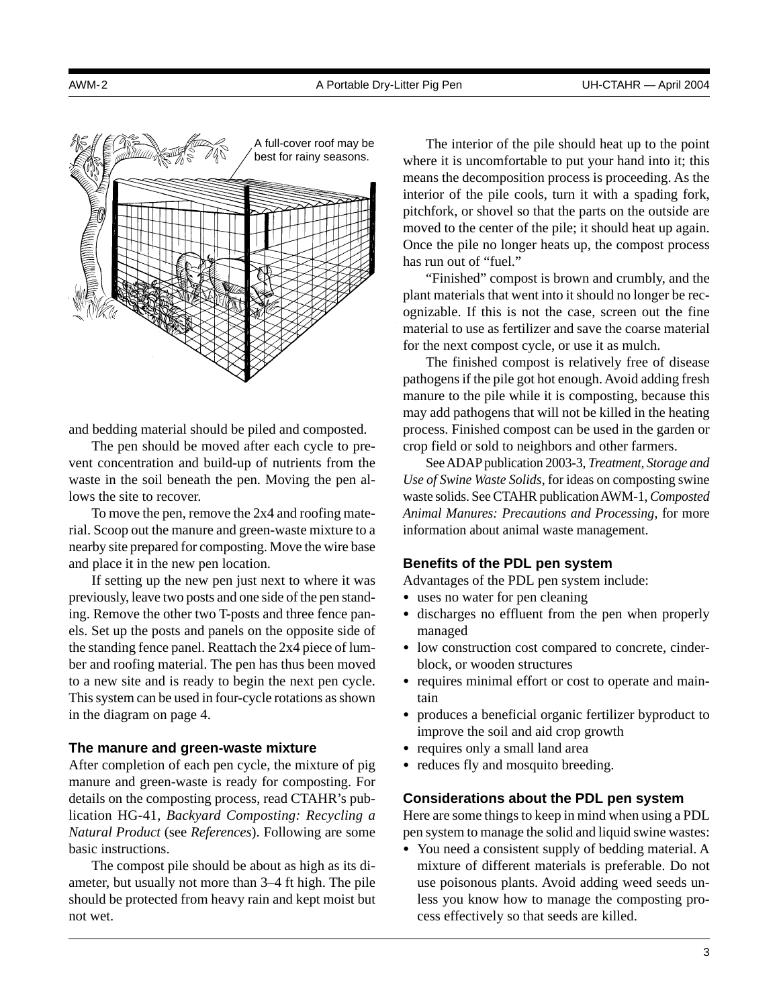

and bedding material should be piled and composted.

The pen should be moved after each cycle to prevent concentration and build-up of nutrients from the waste in the soil beneath the pen. Moving the pen allows the site to recover.

To move the pen, remove the 2x4 and roofing material. Scoop out the manure and green-waste mixture to a nearby site prepared for composting. Move the wire base and place it in the new pen location.

If setting up the new pen just next to where it was previously, leave two posts and one side of the pen standing. Remove the other two T-posts and three fence panels. Set up the posts and panels on the opposite side of the standing fence panel. Reattach the 2x4 piece of lumber and roofing material. The pen has thus been moved to a new site and is ready to begin the next pen cycle. This system can be used in four-cycle rotations as shown in the diagram on page 4.

## **The manure and green-waste mixture**

After completion of each pen cycle, the mixture of pig manure and green-waste is ready for composting. For details on the composting process, read CTAHR's publication HG-41, *Backyard Composting: Recycling a Natural Product* (see *References*). Following are some basic instructions.

The compost pile should be about as high as its diameter, but usually not more than 3–4 ft high. The pile should be protected from heavy rain and kept moist but not wet.

The interior of the pile should heat up to the point where it is uncomfortable to put your hand into it; this means the decomposition process is proceeding. As the interior of the pile cools, turn it with a spading fork, pitchfork, or shovel so that the parts on the outside are moved to the center of the pile; it should heat up again. Once the pile no longer heats up, the compost process has run out of "fuel."

"Finished" compost is brown and crumbly, and the plant materials that went into it should no longer be recognizable. If this is not the case, screen out the fine material to use as fertilizer and save the coarse material for the next compost cycle, or use it as mulch.

The finished compost is relatively free of disease pathogens if the pile got hot enough. Avoid adding fresh manure to the pile while it is composting, because this may add pathogens that will not be killed in the heating process. Finished compost can be used in the garden or crop field or sold to neighbors and other farmers.

See ADAP publication 2003-3, *Treatment, Storage and Use of Swine Waste Solids*, for ideas on composting swine waste solids. See CTAHR publication AWM-1, *Composted Animal Manures: Precautions and Processing*, for more information about animal waste management.

#### **Benefits of the PDL pen system**

Advantages of the PDL pen system include:

- uses no water for pen cleaning
- discharges no effluent from the pen when properly managed
- low construction cost compared to concrete, cinderblock, or wooden structures
- requires minimal effort or cost to operate and maintain
- produces a beneficial organic fertilizer byproduct to improve the soil and aid crop growth
- requires only a small land area
- reduces fly and mosquito breeding.

#### **Considerations about the PDL pen system**

Here are some things to keep in mind when using a PDL pen system to manage the solid and liquid swine wastes:

• You need a consistent supply of bedding material. A mixture of different materials is preferable. Do not use poisonous plants. Avoid adding weed seeds unless you know how to manage the composting process effectively so that seeds are killed.